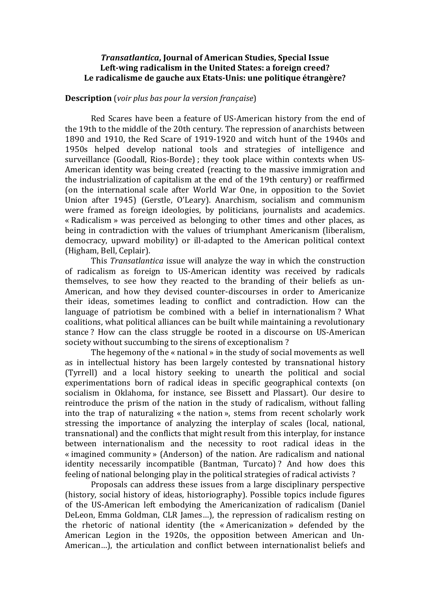## *Transatlantica***, Journal of American Studies, Special Issue** Left-wing radicalism in the United States: a foreign creed? Le radicalisme de gauche aux Etats-Unis: une politique étrangère?

## **Description** (*voir plus bas pour la version française*)

Red Scares have been a feature of US-American history from the end of the 19th to the middle of the 20th century. The repression of anarchists between 1890 and 1910, the Red Scare of 1919-1920 and witch hunt of the 1940s and 1950s helped develop national tools and strategies of intelligence and surveillance (Goodall, Rios-Borde); they took place within contexts when US-American identity was being created (reacting to the massive immigration and the industrialization of capitalism at the end of the 19th century) or reaffirmed (on the international scale after World War One, in opposition to the Soviet Union after 1945) (Gerstle, O'Leary). Anarchism, socialism and communism were framed as foreign ideologies, by politicians, journalists and academics. « Radicalism » was perceived as belonging to other times and other places, as being in contradiction with the values of triumphant Americanism (liberalism, democracy, upward mobility) or ill-adapted to the American political context (Higham, Bell, Ceplair).

This *Transatlantica* issue will analyze the way in which the construction of radicalism as foreign to US-American identity was received by radicals themselves, to see how they reacted to the branding of their beliefs as un-American, and how they devised counter-discourses in order to Americanize their ideas, sometimes leading to conflict and contradiction. How can the language of patriotism be combined with a belief in internationalism? What coalitions, what political alliances can be built while maintaining a revolutionary stance? How can the class struggle be rooted in a discourse on US-American society without succumbing to the sirens of exceptionalism ?

The hegemony of the « national » in the study of social movements as well as in intellectual history has been largely contested by transnational history (Tyrrell) and a local history seeking to unearth the political and social experimentations born of radical ideas in specific geographical contexts (on socialism in Oklahoma, for instance, see Bissett and Plassart). Our desire to reintroduce the prism of the nation in the study of radicalism, without falling into the trap of naturalizing « the nation », stems from recent scholarly work stressing the importance of analyzing the interplay of scales (local, national, transnational) and the conflicts that might result from this interplay, for instance between internationalism and the necessity to root radical ideas in the « imagined community » (Anderson) of the nation. Are radicalism and national identity necessarily incompatible (Bantman, Turcato)? And how does this feeling of national belonging play in the political strategies of radical activists?

Proposals can address these issues from a large disciplinary perspective (history, social history of ideas, historiography). Possible topics include figures of the US-American left embodying the Americanization of radicalism (Daniel DeLeon, Emma Goldman, CLR James...), the repression of radicalism resting on the rhetoric of national identity (the « Americanization » defended by the American Legion in the 1920s, the opposition between American and Un-American...), the articulation and conflict between internationalist beliefs and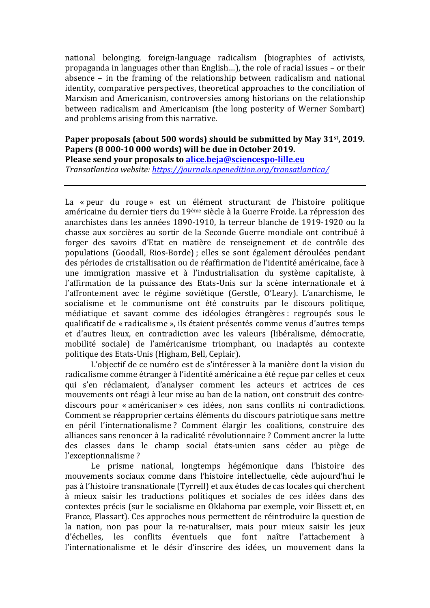national belonging, foreign-language radicalism (biographies of activists, propaganda in languages other than English...), the role of racial issues - or their absence  $-$  in the framing of the relationship between radicalism and national identity, comparative perspectives, theoretical approaches to the conciliation of Marxism and Americanism, controversies among historians on the relationship between radicalism and Americanism (the long posterity of Werner Sombart) and problems arising from this narrative.

Paper proposals (about 500 words) should be submitted by May 31<sup>st</sup>, 2019. **Papers (8 000-10 000 words) will be due in October 2019. Please send your proposals to alice.beja@sciencespo-lille.eu** 

*Transatlantica website: https://journals.openedition.org/transatlantica/*

La « peur du rouge » est un élément structurant de l'histoire politique américaine du dernier tiers du 19<sup>ème</sup> siècle à la Guerre Froide. La répression des anarchistes dans les années 1890-1910, la terreur blanche de 1919-1920 ou la chasse aux sorcières au sortir de la Seconde Guerre mondiale ont contribué à forger des savoirs d'Etat en matière de renseignement et de contrôle des populations (Goodall, Rios-Borde) ; elles se sont également déroulées pendant des périodes de cristallisation ou de réaffirmation de l'identité américaine, face à une immigration massive et à l'industrialisation du système capitaliste, à l'affirmation de la puissance des Etats-Unis sur la scène internationale et à l'affrontement avec le régime soviétique (Gerstle, O'Leary). L'anarchisme, le socialisme et le communisme ont été construits par le discours politique, médiatique et savant comme des idéologies étrangères : regroupés sous le qualificatif de « radicalisme », ils étaient présentés comme venus d'autres temps et d'autres lieux, en contradiction avec les valeurs (libéralisme, démocratie, mobilité sociale) de l'américanisme triomphant, ou inadaptés au contexte politique des Etats-Unis (Higham, Bell, Ceplair).

L'objectif de ce numéro est de s'intéresser à la manière dont la vision du radicalisme comme étranger à l'identité américaine a été reçue par celles et ceux qui s'en réclamaient, d'analyser comment les acteurs et actrices de ces mouvements ont réagi à leur mise au ban de la nation, ont construit des contrediscours pour « américaniser » ces idées, non sans conflits ni contradictions. Comment se réapproprier certains éléments du discours patriotique sans mettre en péril l'internationalisme ? Comment élargir les coalitions, construire des alliances sans renoncer à la radicalité révolutionnaire ? Comment ancrer la lutte des classes dans le champ social états-unien sans céder au piège de l'exceptionnalisme ? 

Le prisme national, longtemps hégémonique dans l'histoire des mouvements sociaux comme dans l'histoire intellectuelle, cède aujourd'hui le pas à l'histoire transnationale (Tyrrell) et aux études de cas locales qui cherchent à mieux saisir les traductions politiques et sociales de ces idées dans des contextes précis (sur le socialisme en Oklahoma par exemple, voir Bissett et, en France, Plassart). Ces approches nous permettent de réintroduire la question de la nation, non pas pour la re-naturaliser, mais pour mieux saisir les jeux d'échelles, les conflits éventuels que font naître l'attachement à l'internationalisme et le désir d'inscrire des idées, un mouvement dans la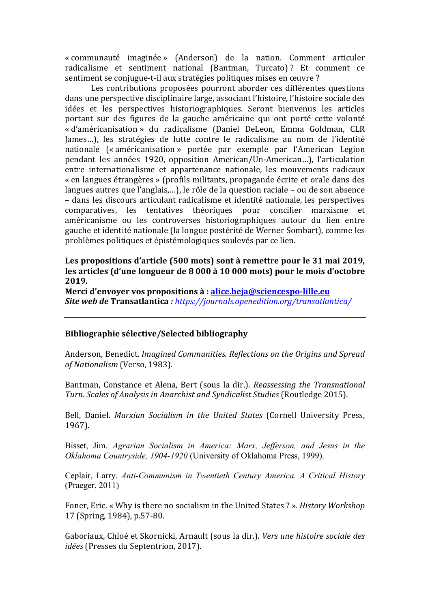« communauté imaginée » (Anderson) de la nation. Comment articuler radicalisme et sentiment national (Bantman, Turcato)? Et comment ce sentiment se conjugue-t-il aux stratégies politiques mises en œuvre?

Les contributions proposées pourront aborder ces différentes questions dans une perspective disciplinaire large, associant l'histoire, l'histoire sociale des idées et les perspectives historiographiques. Seront bienvenus les articles portant sur des figures de la gauche américaine qui ont porté cette volonté « d'américanisation » du radicalisme (Daniel DeLeon, Emma Goldman, CLR James...), les stratégies de lutte contre le radicalisme au nom de l'identité nationale (« américanisation » portée par exemple par l'American Legion pendant les années 1920, opposition American/Un-American...), l'articulation entre internationalisme et appartenance nationale, les mouvements radicaux « en langues étrangères » (profils militants, propagande écrite et orale dans des langues autres que l'anglais,...), le rôle de la question raciale – ou de son absence – dans les discours articulant radicalisme et identité nationale, les perspectives comparatives, les tentatives théoriques pour concilier marxisme et américanisme ou les controverses historiographiques autour du lien entre gauche et identité nationale (la longue postérité de Werner Sombart), comme les problèmes politiques et épistémologiques soulevés par ce lien.

## Les propositions d'article (500 mots) sont à remettre pour le 31 mai 2019, les articles (d'une longueur de 8 000 à 10 000 mots) pour le mois d'octobre **2019.**

**Merci d'envoyer vos propositions à :** *alice.beja@sciencespo-lille.eu Site web de* **Transatlantica** *: https://journals.openedition.org/transatlantica/*

## **Bibliographie sélective/Selected bibliography**

Anderson, Benedict. *Imagined Communities. Reflections on the Origins and Spread of Nationalism* (Verso, 1983).

Bantman, Constance et Alena, Bert (sous la dir.). *Reassessing the Transnational Turn. Scales of Analysis in Anarchist and Syndicalist Studies* (Routledge 2015).

Bell, Daniel. *Marxian Socialism in the United States* (Cornell University Press, 1967).

Bisset, Jim. *Agrarian Socialism in America: Marx, Jefferson, and Jesus in the Oklahoma Countryside, 1904-1920* (University of Oklahoma Press, 1999).

Ceplair, Larry. *Anti-Communism in Twentieth Century America. A Critical History* (Praeger, 2011)

Foner, Eric. « Why is there no socialism in the United States ? ». *History Workshop* 17 (Spring, 1984), p.57-80.

Gaboriaux, Chloé et Skornicki, Arnault (sous la dir.). *Vers une histoire sociale des* idées (Presses du Septentrion, 2017).